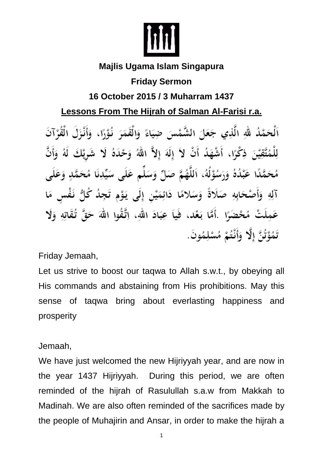

## **Majlis Ugama Islam Singapura**

## **Friday Sermon**

## **16 October 2015 / 3 Muharram 1437**

## **Lessons From The Hijrah of Salman Al-Farisi r.a.**

اَلْحَمْدُ لَّهِ الَّذِي جَعَلَ الشَّمْسَ ضِيَاءً وَالْقَمَرَ نُوْرًا، ۖ وَأَنْزَلَ الْقُرْآنَ لِلْمُتَّقِيْنَ ذِكْرًا، أَشْهَدُ أَنْ لاَ إِلَهَ إِلاَّ اللهُ وَحْدَهُ لَا شَرِيْكَ لَهُ وَأَنَّ مُحَمَّدًا عَبْدُهُ وَرَسُوْلُهُ، اَللَّهُمَّ صَلِّ وَسَلِّم عَلَى سَيِّدِنَا مُحَمَّدٍ وَعَلَى آلِهِ وَأَصْحَابِهِ صَلَاةً وَسَلامًا دَائِمَيْنِ إِلَى يَوْمِ تَجِدُ كُلُّ نَفْسٍ مَا عَمِلَتْ مُحْضَرًا .أَمَّا بَعْد، فَياَ عِبَادَ اللهِ، اِتَّقُوا اللهَ حَقَّ تُقَاتِهِ وَلَا تَمُوْتُنَّ إِلَّا ۖ وَأَنْتُمْ مُسْلِمُونَ.

Friday Jemaah,

Let us strive to boost our taqwa to Allah s.w.t., by obeying all His commands and abstaining from His prohibitions. May this sense of taqwa bring about everlasting happiness and prosperity

Jemaah,

We have just welcomed the new Hijriyyah year, and are now in the year 1437 Hijriyyah. During this period, we are often reminded of the hijrah of Rasulullah s.a.w from Makkah to Madinah. We are also often reminded of the sacrifices made by the people of Muhajirin and Ansar, in order to make the hijrah a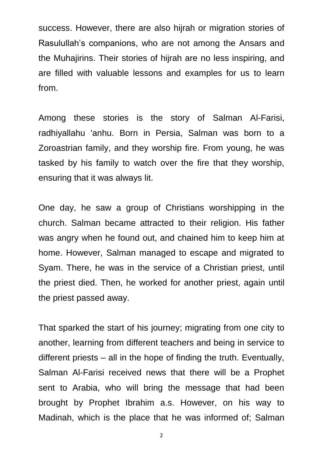success. However, there are also hijrah or migration stories of Rasulullah's companions, who are not among the Ansars and the Muhajirins. Their stories of hijrah are no less inspiring, and are filled with valuable lessons and examples for us to learn from.

Among these stories is the story of Salman Al-Farisi, radhiyallahu 'anhu. Born in Persia, Salman was born to a Zoroastrian family, and they worship fire. From young, he was tasked by his family to watch over the fire that they worship, ensuring that it was always lit.

One day, he saw a group of Christians worshipping in the church. Salman became attracted to their religion. His father was angry when he found out, and chained him to keep him at home. However, Salman managed to escape and migrated to Syam. There, he was in the service of a Christian priest, until the priest died. Then, he worked for another priest, again until the priest passed away.

That sparked the start of his journey; migrating from one city to another, learning from different teachers and being in service to different priests – all in the hope of finding the truth. Eventually, Salman Al-Farisi received news that there will be a Prophet sent to Arabia, who will bring the message that had been brought by Prophet Ibrahim a.s. However, on his way to Madinah, which is the place that he was informed of; Salman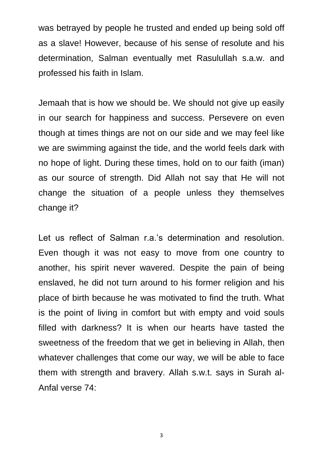was betrayed by people he trusted and ended up being sold off as a slave! However, because of his sense of resolute and his determination, Salman eventually met Rasulullah s.a.w. and professed his faith in Islam.

Jemaah that is how we should be. We should not give up easily in our search for happiness and success. Persevere on even though at times things are not on our side and we may feel like we are swimming against the tide, and the world feels dark with no hope of light. During these times, hold on to our faith (iman) as our source of strength. Did Allah not say that He will not change the situation of a people unless they themselves change it?

Let us reflect of Salman r.a.'s determination and resolution. Even though it was not easy to move from one country to another, his spirit never wavered. Despite the pain of being enslaved, he did not turn around to his former religion and his place of birth because he was motivated to find the truth. What is the point of living in comfort but with empty and void souls filled with darkness? It is when our hearts have tasted the sweetness of the freedom that we get in believing in Allah, then whatever challenges that come our way, we will be able to face them with strength and bravery. Allah s.w.t. says in Surah al-Anfal verse 74:

3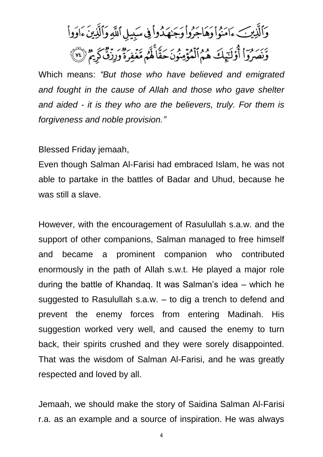وَٱلَّذِينَ ءَامَنُواْ وَهَاجَرُواْ وَجَنهَدُواْ فِي سَبِيلِ ٱللَّهِ وَٱلَّذِينَ ءَاوَواْ وَنَصَرُواْ أُوْلَيْهِكَ هُمُ ٱلْمُؤْمِنُونَ حَقًّا لَّهُم مَّغْفِرَةٌ وَرِزْقٌ كَرِيمٌ (٧٢)

Which means: *"But those who have believed and emigrated and fought in the cause of Allah and those who gave shelter and aided - it is they who are the believers, truly. For them is forgiveness and noble provision."*

Blessed Friday jemaah,

Even though Salman Al-Farisi had embraced Islam, he was not able to partake in the battles of Badar and Uhud, because he was still a slave.

However, with the encouragement of Rasulullah s.a.w. and the support of other companions, Salman managed to free himself and became a prominent companion who contributed enormously in the path of Allah s.w.t. He played a major role during the battle of Khandaq. It was Salman's idea – which he suggested to Rasulullah s.a.w. – to dig a trench to defend and prevent the enemy forces from entering Madinah. His suggestion worked very well, and caused the enemy to turn back, their spirits crushed and they were sorely disappointed. That was the wisdom of Salman Al-Farisi, and he was greatly respected and loved by all.

Jemaah, we should make the story of Saidina Salman Al-Farisi r.a. as an example and a source of inspiration. He was always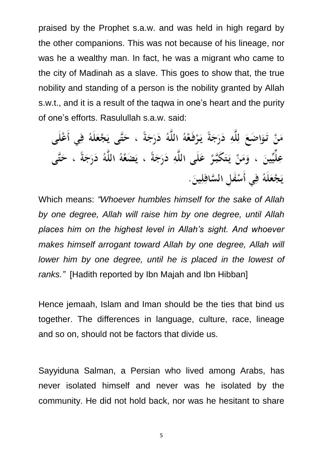praised by the Prophet s.a.w. and was held in high regard by the other companions. This was not because of his lineage, nor was he a wealthy man. In fact, he was a migrant who came to the city of Madinah as a slave. This goes to show that, the true nobility and standing of a person is the nobility granted by Allah s.w.t., and it is a result of the taqwa in one's heart and the purity of one's efforts. Rasulullah s.a.w. said:

مَنْ تَوَاصَعَ لِلَّهِ دَرَجَةً يَرْفَعْهُ اللَّهُ دَرَجَةً ، حَتَّى يَجْعَلَهُ فِي أَعْلَى عِلِّيِّينَ ، وَمَنْ يَتَكَبَّرْ عَلَى اللَّهِ دَرَجَةً ، يَضَعْهُ اللَّهُ دَرَجَةً ، حَتَّى يَجْعَلَهُ فِي أَسْفَلِ السَّافِلِينَ.

Which means: *"Whoever humbles himself for the sake of Allah by one degree, Allah will raise him by one degree, until Allah places him on the highest level in Allah's sight. And whoever makes himself arrogant toward Allah by one degree, Allah will lower him by one degree, until he is placed in the lowest of ranks."* [Hadith reported by Ibn Majah and Ibn Hibban]

Hence jemaah, Islam and Iman should be the ties that bind us together. The differences in language, culture, race, lineage and so on, should not be factors that divide us.

Sayyiduna Salman, a Persian who lived among Arabs, has never isolated himself and never was he isolated by the community. He did not hold back, nor was he hesitant to share

5